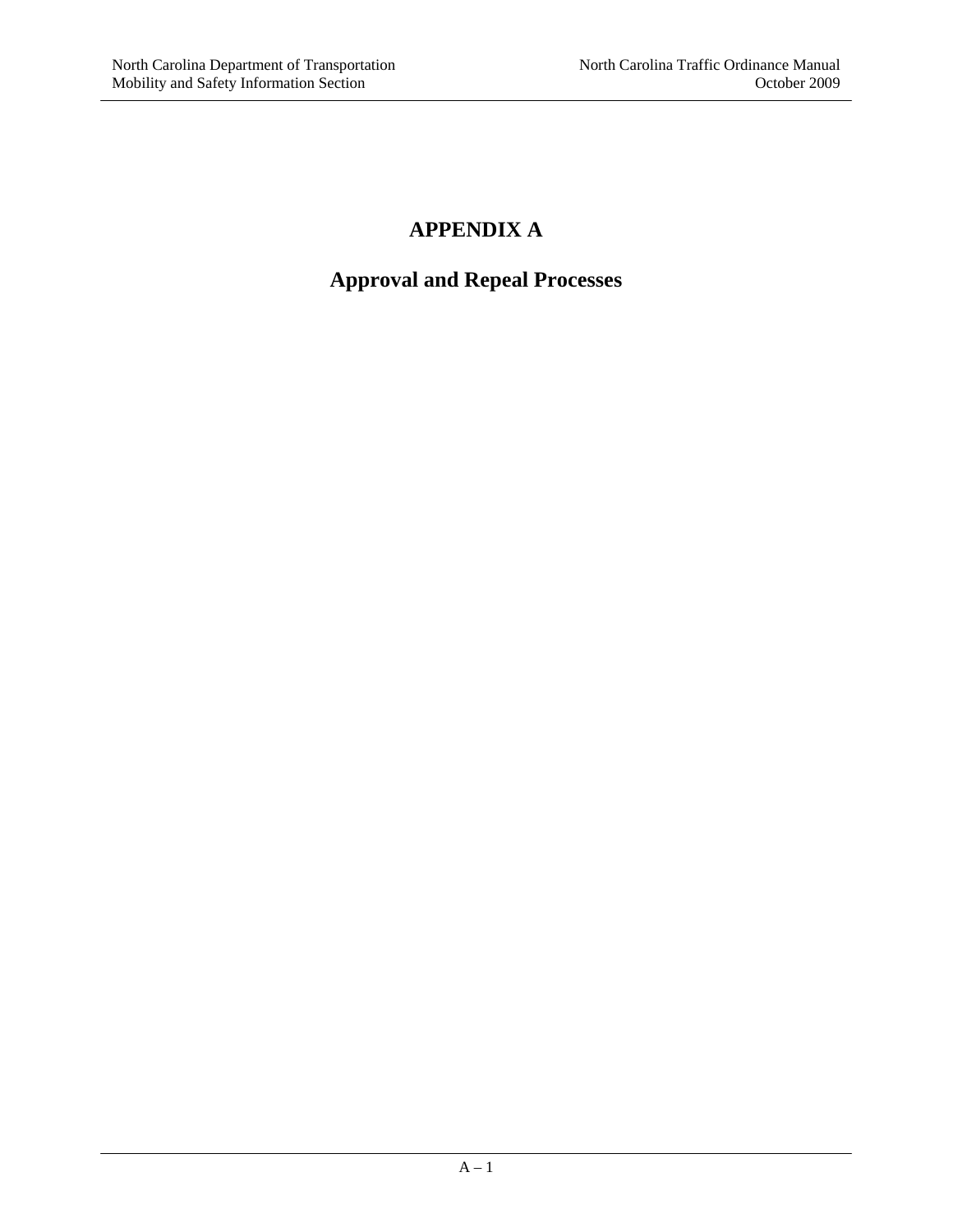#### **APPENDIX A**

#### **Approval and Repeal Processes**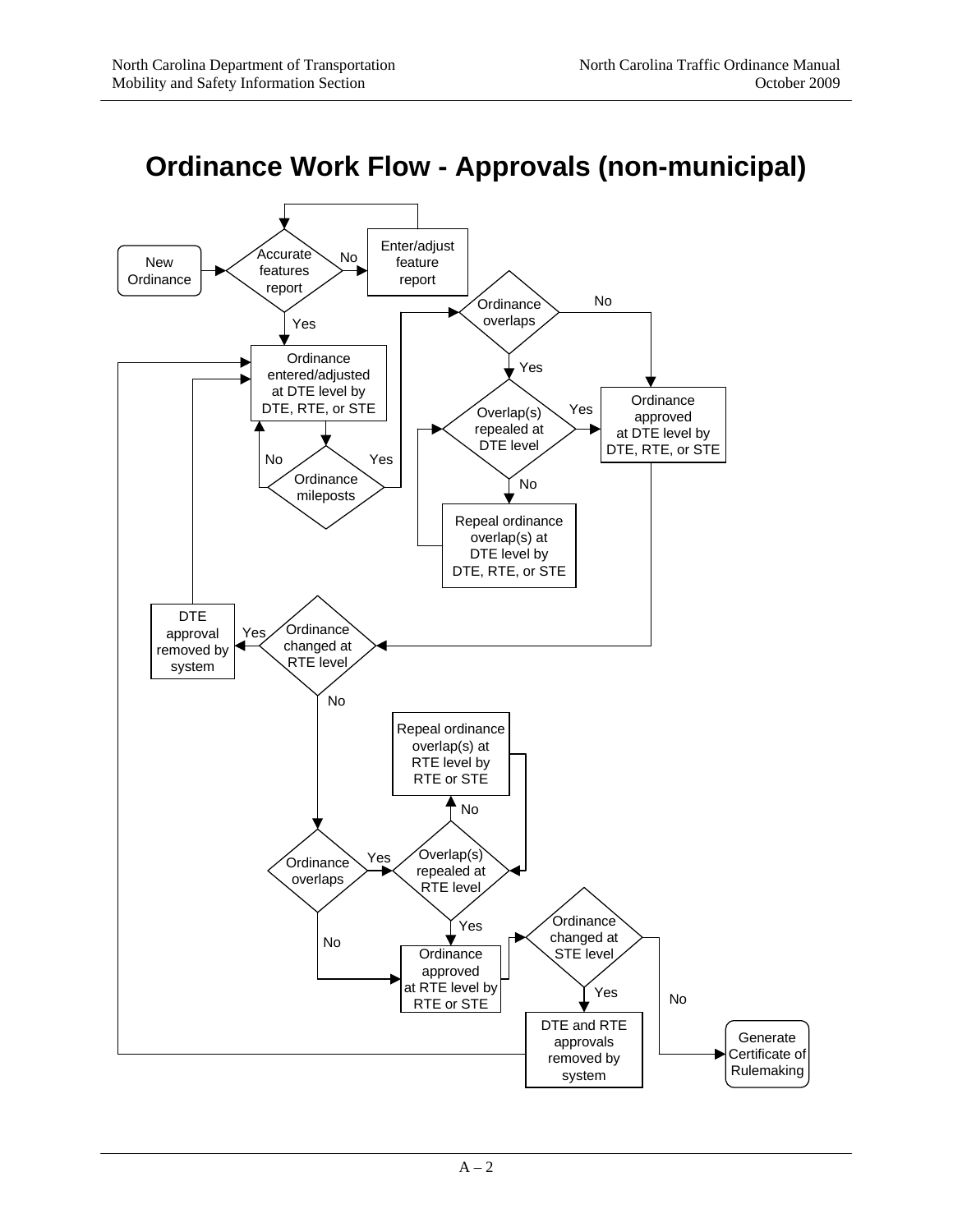

## **Ordinance Work Flow - Approvals (non-municipal)**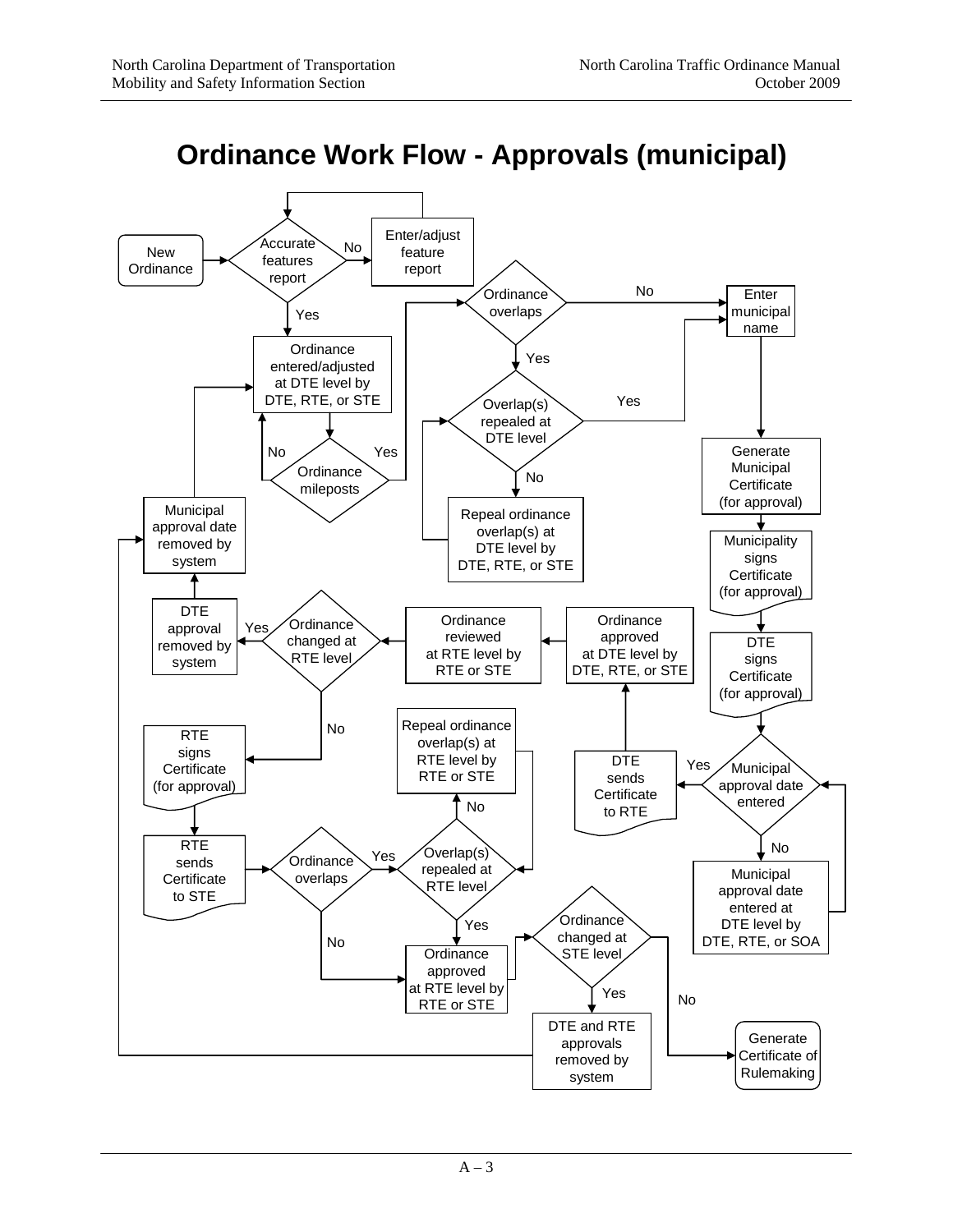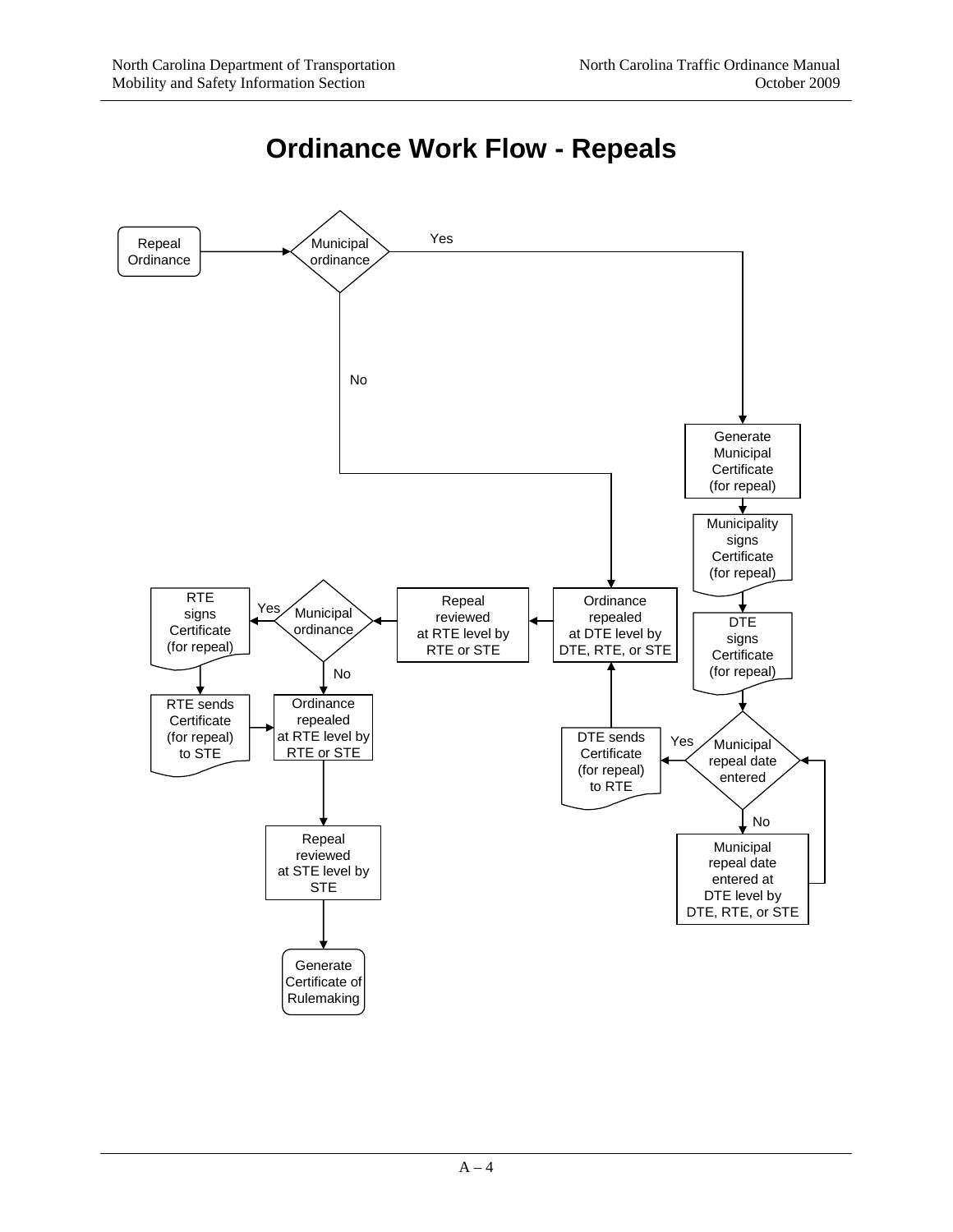

### **Ordinance Work Flow - Repeals**